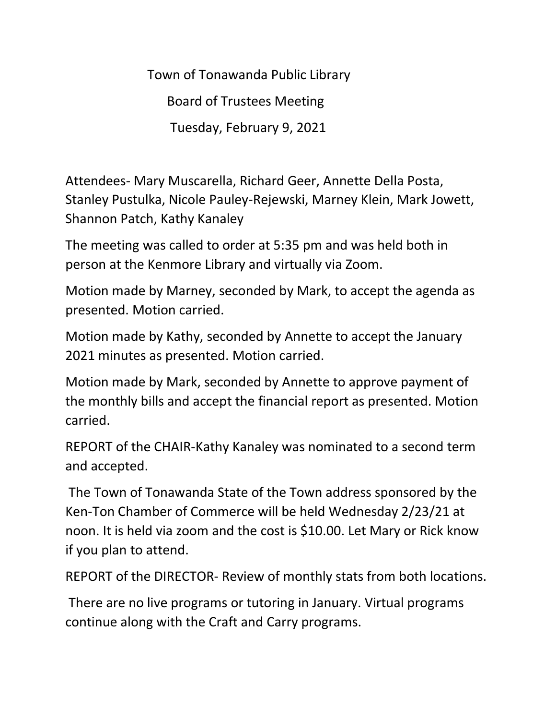Town of Tonawanda Public Library Board of Trustees Meeting Tuesday, February 9, 2021

Attendees- Mary Muscarella, Richard Geer, Annette Della Posta, Stanley Pustulka, Nicole Pauley-Rejewski, Marney Klein, Mark Jowett, Shannon Patch, Kathy Kanaley

The meeting was called to order at 5:35 pm and was held both in person at the Kenmore Library and virtually via Zoom.

Motion made by Marney, seconded by Mark, to accept the agenda as presented. Motion carried.

Motion made by Kathy, seconded by Annette to accept the January 2021 minutes as presented. Motion carried.

Motion made by Mark, seconded by Annette to approve payment of the monthly bills and accept the financial report as presented. Motion carried.

REPORT of the CHAIR-Kathy Kanaley was nominated to a second term and accepted.

The Town of Tonawanda State of the Town address sponsored by the Ken-Ton Chamber of Commerce will be held Wednesday 2/23/21 at noon. It is held via zoom and the cost is \$10.00. Let Mary or Rick know if you plan to attend.

REPORT of the DIRECTOR- Review of monthly stats from both locations.

There are no live programs or tutoring in January. Virtual programs continue along with the Craft and Carry programs.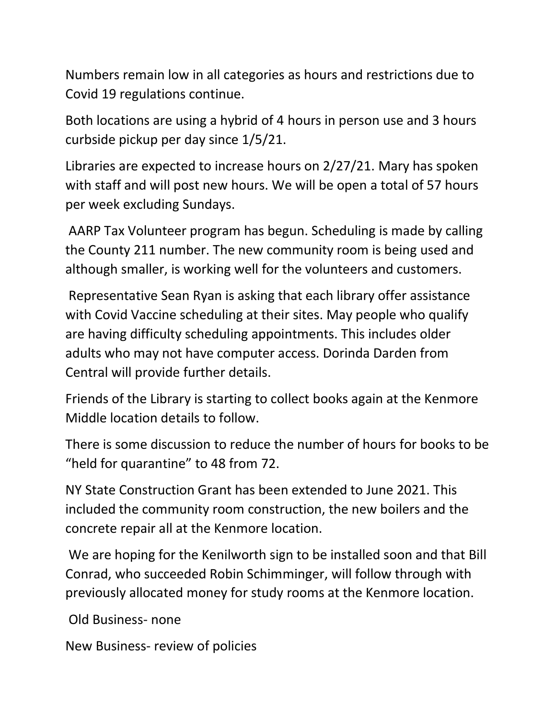Numbers remain low in all categories as hours and restrictions due to Covid 19 regulations continue.

Both locations are using a hybrid of 4 hours in person use and 3 hours curbside pickup per day since 1/5/21.

Libraries are expected to increase hours on 2/27/21. Mary has spoken with staff and will post new hours. We will be open a total of 57 hours per week excluding Sundays.

AARP Tax Volunteer program has begun. Scheduling is made by calling the County 211 number. The new community room is being used and although smaller, is working well for the volunteers and customers.

Representative Sean Ryan is asking that each library offer assistance with Covid Vaccine scheduling at their sites. May people who qualify are having difficulty scheduling appointments. This includes older adults who may not have computer access. Dorinda Darden from Central will provide further details.

Friends of the Library is starting to collect books again at the Kenmore Middle location details to follow.

There is some discussion to reduce the number of hours for books to be "held for quarantine" to 48 from 72.

NY State Construction Grant has been extended to June 2021. This included the community room construction, the new boilers and the concrete repair all at the Kenmore location.

We are hoping for the Kenilworth sign to be installed soon and that Bill Conrad, who succeeded Robin Schimminger, will follow through with previously allocated money for study rooms at the Kenmore location.

Old Business- none

New Business- review of policies